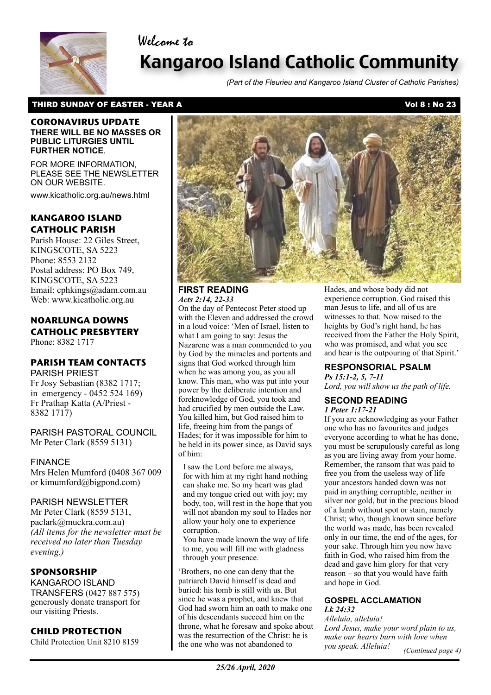# Welcome to



# Kangaroo Island Catholic Community

*(Part of the Fleurieu and Kangaroo Island Cluster of Catholic Parishes)*

# THIRD SUNDAY OF EASTER - YEAR A Vol 8 : No 23

#### **CORONAVIRUS UPDATE THERE WILL BE NO MASSES OR PUBLIC LITURGIES UNTIL FURTHER NOTICE**.

FOR MORE INFORMATION, PLEASE SEE THE NEWSLETTER ON OUR WEBSITE.

www.kicatholic.org.au/news.html

# **KANGAROO ISLAND CATHOLIC PARISH**

Parish House: 22 Giles Street, KINGSCOTE, SA 5223 Phone: 8553 2132 Postal address: PO Box 749, KINGSCOTE, SA 5223 Email: cphkings@adam.com.au Web: www.kicatholic.org.au

# **NOARLUNGA DOWNS CATHOLIC PRESBYTERY**

Phone: 8382 1717

# **PARISH TEAM CONTACTS**

PARISH PRIEST Fr Josy Sebastian (8382 1717; in emergency - 0452 524 169) Fr Prathap Katta (A/Priest - 8382 1717)

PARISH PASTORAL COUNCIL Mr Peter Clark (8559 5131)

#### FINANCE

Mrs Helen Mumford (0408 367 009 or kimumford@bigpond.com)

### PARISH NEWSLETTER

Mr Peter Clark (8559 5131, paclark@muckra.com.au) *(All items for the newsletter must be received no later than Tuesday evening.)*

## **SPONSORSHIP**

KANGAROO ISLAND TRANSFERS (0427 887 575) generously donate transport for our visiting Priests.

## **CHILD PROTECTION**

Child Protection Unit 8210 8159



#### **FIRST READING** *Acts 2:14, 22-33*

On the day of Pentecost Peter stood up with the Eleven and addressed the crowd in a loud voice: 'Men of Israel, listen to what I am going to say: Jesus the Nazarene was a man commended to you by God by the miracles and portents and signs that God worked through him when he was among you, as you all know. This man, who was put into your power by the deliberate intention and foreknowledge of God, you took and had crucified by men outside the Law. You killed him, but God raised him to life, freeing him from the pangs of Hades; for it was impossible for him to be held in its power since, as David says of him:

I saw the Lord before me always, for with him at my right hand nothing can shake me. So my heart was glad and my tongue cried out with joy; my body, too, will rest in the hope that you will not abandon my soul to Hades nor allow your holy one to experience corruption.

You have made known the way of life to me, you will fill me with gladness through your presence.

'Brothers, no one can deny that the patriarch David himself is dead and buried: his tomb is still with us. But since he was a prophet, and knew that God had sworn him an oath to make one of his descendants succeed him on the throne, what he foresaw and spoke about was the resurrection of the Christ: he is the one who was not abandoned to

Hades, and whose body did not experience corruption. God raised this man Jesus to life, and all of us are witnesses to that. Now raised to the heights by God's right hand, he has received from the Father the Holy Spirit, who was promised, and what you see and hear is the outpouring of that Spirit.'

## **RESPONSORIAL PSALM**

*Ps 15:1-2, 5, 7-11 Lord, you will show us the path of life.*

# **SECOND READING**

*1 Peter 1:17-21*

If you are acknowledging as your Father one who has no favourites and judges everyone according to what he has done, you must be scrupulously careful as long as you are living away from your home. Remember, the ransom that was paid to free you from the useless way of life your ancestors handed down was not paid in anything corruptible, neither in silver nor gold, but in the precious blood of a lamb without spot or stain, namely Christ; who, though known since before the world was made, has been revealed only in our time, the end of the ages, for your sake. Through him you now have faith in God, who raised him from the dead and gave him glory for that very reason – so that you would have faith and hope in God.

#### **GOSPEL ACCLAMATION** *Lk 24:32*

*Alleluia, alleluia! Lord Jesus, make your word plain to us, make our hearts burn with love when you speak. Alleluia! (Continued page 4)*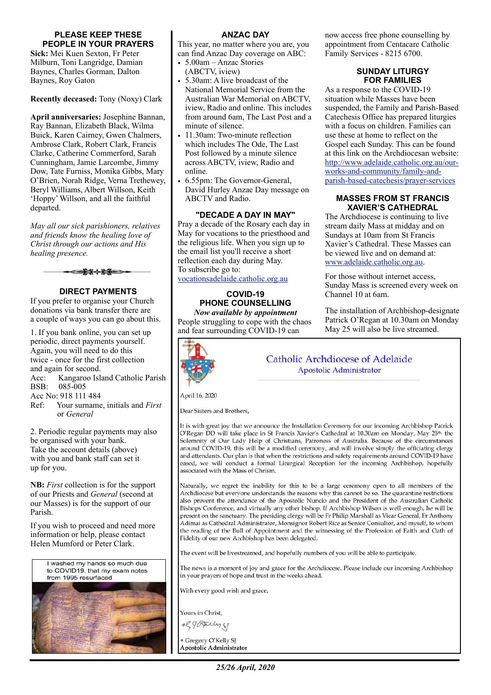#### **PLEASE KEEP THESE PEOPLE IN YOUR PRAYERS**

**Sick:** Mei Kuen Sexton, Fr Peter Milburn, Toni Langridge, Damian Baynes, Charles Gorman, Dalton Baynes, Roy Gaton

**Recently deceased:** Tony (Noxy) Clark

**April anniversaries:** Josephine Bannan, Ray Bannan, Elizabeth Black, Wilma Buick, Karen Cairney, Gwen Chalmers, Ambrose Clark, Robert Clark, Francis Clarke, Catherine Commerford, Sarah Cunningham, Jamie Larcombe, Jimmy Dow, Tate Furniss, Monika Gibbs, Mary O'Brien, Norah Ridge, Verna Trethewey, Beryl Williams, Albert Willson, Keith 'Hoppy' Willson, and all the faithful departed.

*May all our sick parishioners, relatives and friends know the healing love of Christ through our actions and His healing presence.*



#### **DIRECT PAYMENTS**

If you prefer to organise your Church donations via bank transfer there are a couple of ways you can go about this.

1. If you bank online, you can set up periodic, direct payments yourself. Again, you will need to do this twice - once for the first collection and again for second. Acc: Kangaroo Island Catholic Parish

BSB: 085-005

Acc No: 918 111 484

Ref: Your surname, initials and *First* or *General*

2. Periodic regular payments may also be organised with your bank. Take the account details (above) with you and bank staff can set it up for you.

**NB:** *First* collection is for the support of our Priests and *General* (second at our Masses) is for the support of our Parish.

If you wish to proceed and need more information or help, please contact Helen Mumford or Peter Clark.





#### **ANZAC DAY**

This year, no matter where you are, you can find Anzac Day coverage on ABC:

- 5.00am Anzac Stories (ABCTV, iview)
- 5.30am: A live broadcast of the National Memorial Service from the Australian War Memorial on ABCTV, iview, Radio and online. This includes from around 6am, The Last Post and a minute of silence.
- 11.30am: Two-minute reflection which includes The Ode, The Last Post followed by a minute silence across ABCTV, iview, Radio and online.
- 6.55pm: The Governor-General, David Hurley Anzac Day message on ABCTV and Radio.

#### **"DECADE A DAY IN MAY"**

Pray a decade of the Rosary each day in May for vocations to the priesthood and the religious life. When you sign up to the email list you'll receive a short reflection each day during May. To subscribe go to:

[vocationsadelaide.catholic.org.au](http://vocationsadelaide.catholic.org.au)

#### **COVID-19 PHONE COUNSELLING**  *Now available by appointment*

People struggling to cope with the chaos and fear surrounding COVID-19 can



now access free phone counselling by appointment from Centacare Catholic Family Services - 8215 6700.

#### **SUNDAY LITURGY FOR FAMILIES**

As a response to the COVID-19 situation while Masses have been suspended, the Family and Parish-Based Catechesis Office has prepared liturgies with a focus on children. Families can use these at home to reflect on the Gospel each Sunday. This can be found at this link on the Archdiocesan website: [http://www.adelaide.catholic.org.au/our](https://aus01.safelinks.protection.outlook.com/?url=http://www.adelaide.catholic.org.au/our-works-and-community/family-and-parish-based-catechesis/prayer-services&data=02%7C01%7CElena.Moffa@cesa.catholic.edu.au%7C3a177e136fc74919160e08d7d9ccccd6%7C324d0eab8f464c94aeff237148fb968e%7C0%7C0%7C637217345951864236&sdata=NOLbwxj/TyM6X8mbk3KeR9uwimy6POMHZeFylnCtXkM=&reserved=0)[works-and-community/family-and](https://aus01.safelinks.protection.outlook.com/?url=http://www.adelaide.catholic.org.au/our-works-and-community/family-and-parish-based-catechesis/prayer-services&data=02%7C01%7CElena.Moffa@cesa.catholic.edu.au%7C3a177e136fc74919160e08d7d9ccccd6%7C324d0eab8f464c94aeff237148fb968e%7C0%7C0%7C637217345951864236&sdata=NOLbwxj/TyM6X8mbk3KeR9uwimy6POMHZeFylnCtXkM=&reserved=0)[parish-based-catechesis/prayer-services](https://aus01.safelinks.protection.outlook.com/?url=http://www.adelaide.catholic.org.au/our-works-and-community/family-and-parish-based-catechesis/prayer-services&data=02%7C01%7CElena.Moffa@cesa.catholic.edu.au%7C3a177e136fc74919160e08d7d9ccccd6%7C324d0eab8f464c94aeff237148fb968e%7C0%7C0%7C637217345951864236&sdata=NOLbwxj/TyM6X8mbk3KeR9uwimy6POMHZeFylnCtXkM=&reserved=0)

#### **MASSES FROM ST FRANCIS XAVIER'S CATHEDRAL**

The Archdiocese is continuing to live stream daily Mass at midday and on Sundays at 10am from St Francis Xavier's Cathedral. These Masses can be viewed live and on demand at: [www.adelaide.catholic.org.au](http://www.adelaide.catholic.org.au).

For those without internet access, Sunday Mass is screened every week on Channel 10 at 6am.

The installation of Archbishop-designate Patrick O'Regan at 10.30am on Monday May 25 will also be live streamed.



April 16, 2020

Dear Sisters and Brothers,

It is with great joy that we announce the Installation Ceremony for our incoming Archbishop Patrick O'Regan DD will take place in St Francis Xavier's Cathedral at 10.30am on Monday, May 25<sup>th,</sup> the Solemnity of Our Lady Help of Christians, Patroness of Australia. Because of the circumstances around COVID-19, this will be a modified ceremony, and will involve simply the officiating clergy and attendants. Our plan is that when the restrictions and safety requirements around COVID-19 have eased, we will conduct a formal Liturgical Reception for the incoming Archbishop, hopefully associated with the Mass of Chrism.

Naturally, we regret the inability for this to be a large ceremony open to all members of the Archdiocese but everyone understands the reasons why this cannot be so. The quarantine restrictions also prevent the attendance of the Apostolic Nuncio and the President of the Australian Catholic Bishops Conference, and virtually any other bishop. If Archbishop Wilson is well enough, he will be present on the sanctuary. The presiding clergy will be Fr Philip Marshall as Vicar General, Fr Anthony Adimai as Cathedral Administrator, Monsignor Robert Rice as Senior Consultor, and myself, to whom the reading of the Bull of Appointment and the witnessing of the Profession of Faith and Oath of Fidelity of our new Archbishop has been delegated.

The event will be livestreamed, and hopefully numbers of you will be able to participate.

The news is a moment of joy and grace for the Archdiocese. Please include our incoming Archbishop in your prayers of hope and trust in the weeks ahead.

With every good wish and grace,

Yours in Christ.

+ SPORUMS1

+ Gregory O'Kelly SI Apostolic Administrator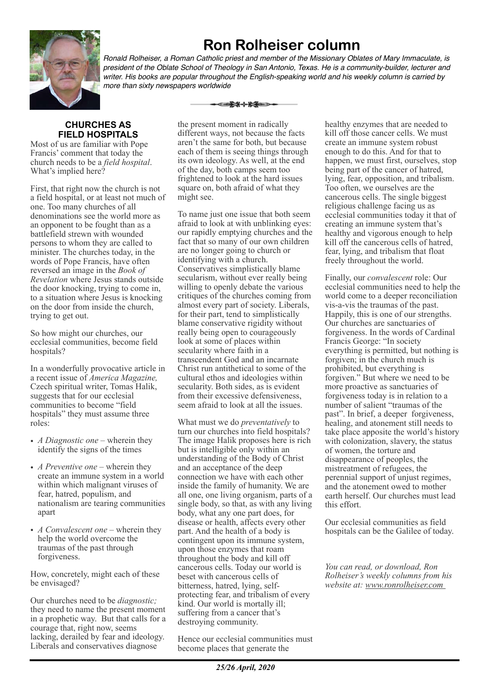

# **Ron Rolheiser column**

*Ronald Rolheiser, a Roman Catholic priest and member of the Missionary Oblates of Mary Immaculate, is president of the Oblate School of Theology in San Antonio, Texas. He is a community-builder, lecturer and writer. His books are popular throughout the English-speaking world and his weekly column is carried by more than sixty newspapers worldwide*

# **CHURCHES AS FIELD HOSPITALS**

Most of us are familiar with Pope Francis' comment that today the church needs to be a *field hospital*. What's implied here?

First, that right now the church is not a field hospital, or at least not much of one. Too many churches of all denominations see the world more as an opponent to be fought than as a battlefield strewn with wounded persons to whom they are called to minister. The churches today, in the words of Pope Francis, have often reversed an image in the *Book of Revelation* where Jesus stands outside the door knocking, trying to come in, to a situation where Jesus is knocking on the door from inside the church, trying to get out.

So how might our churches, our ecclesial communities, become field hospitals?

In a wonderfully provocative article in a recent issue of *America Magazine,*  Czech spiritual writer, Tomas Halik, suggests that for our ecclesial communities to become "field hospitals" they must assume three roles:

- *A Diagnostic one* wherein they identify the signs of the times
- *A Preventive one* wherein they create an immune system in a world within which malignant viruses of fear, hatred, populism, and nationalism are tearing communities apart
- *A Convalescent one* wherein they help the world overcome the traumas of the past through forgiveness.

How, concretely, might each of these be envisaged?

Our churches need to be *diagnostic;*  they need to name the present moment in a prophetic way. But that calls for a courage that, right now, seems lacking, derailed by fear and ideology. Liberals and conservatives diagnose

the present moment in radically different ways, not because the facts aren't the same for both, but because each of them is seeing things through its own ideology. As well, at the end of the day, both camps seem too frightened to look at the hard issues square on, both afraid of what they might see.

<del>- ⊂≵⊁⊹⋡≨</del>═>•

To name just one issue that both seem afraid to look at with unblinking eyes: our rapidly emptying churches and the fact that so many of our own children are no longer going to church or identifying with a church. Conservatives simplistically blame secularism, without ever really being willing to openly debate the various critiques of the churches coming from almost every part of society. Liberals, for their part, tend to simplistically blame conservative rigidity without really being open to courageously look at some of places within secularity where faith in a transcendent God and an incarnate Christ run antithetical to some of the cultural ethos and ideologies within secularity. Both sides, as is evident from their excessive defensiveness, seem afraid to look at all the issues.

What must we do *preventatively* to turn our churches into field hospitals? The image Halik proposes here is rich but is intelligible only within an understanding of the Body of Christ and an acceptance of the deep connection we have with each other inside the family of humanity. We are all one, one living organism, parts of a single body, so that, as with any living body, what any one part does, for disease or health, affects every other part. And the health of a body is contingent upon its immune system, upon those enzymes that roam throughout the body and kill off cancerous cells. Today our world is beset with cancerous cells of bitterness, hatred, lying, selfprotecting fear, and tribalism of every kind. Our world is mortally ill; suffering from a cancer that's destroying community.

Hence our ecclesial communities must become places that generate the

healthy enzymes that are needed to kill off those cancer cells. We must create an immune system robust enough to do this. And for that to happen, we must first, ourselves, stop being part of the cancer of hatred, lying, fear, opposition, and tribalism. Too often, we ourselves are the cancerous cells. The single biggest religious challenge facing us as ecclesial communities today it that of creating an immune system that's healthy and vigorous enough to help kill off the cancerous cells of hatred, fear, lying, and tribalism that float freely throughout the world.

Finally, our *convalescent* role: Our ecclesial communities need to help the world come to a deeper reconciliation vis-a-vis the traumas of the past. Happily, this is one of our strengths. Our churches are sanctuaries of forgiveness. In the words of Cardinal Francis George: "In society everything is permitted, but nothing is forgiven; in the church much is prohibited, but everything is forgiven." But where we need to be more proactive as sanctuaries of forgiveness today is in relation to a number of salient "traumas of the past". In brief, a deeper forgiveness, healing, and atonement still needs to take place apposite the world's history with colonization, slavery, the status of women, the torture and disappearance of peoples, the mistreatment of refugees, the perennial support of unjust regimes, and the atonement owed to mother earth herself. Our churches must lead this effort.

Our ecclesial communities as field hospitals can be the Galilee of today.

*You can read, or download, Ron Rolheiser's weekly columns from his website at: www.ronrolheiser.com*